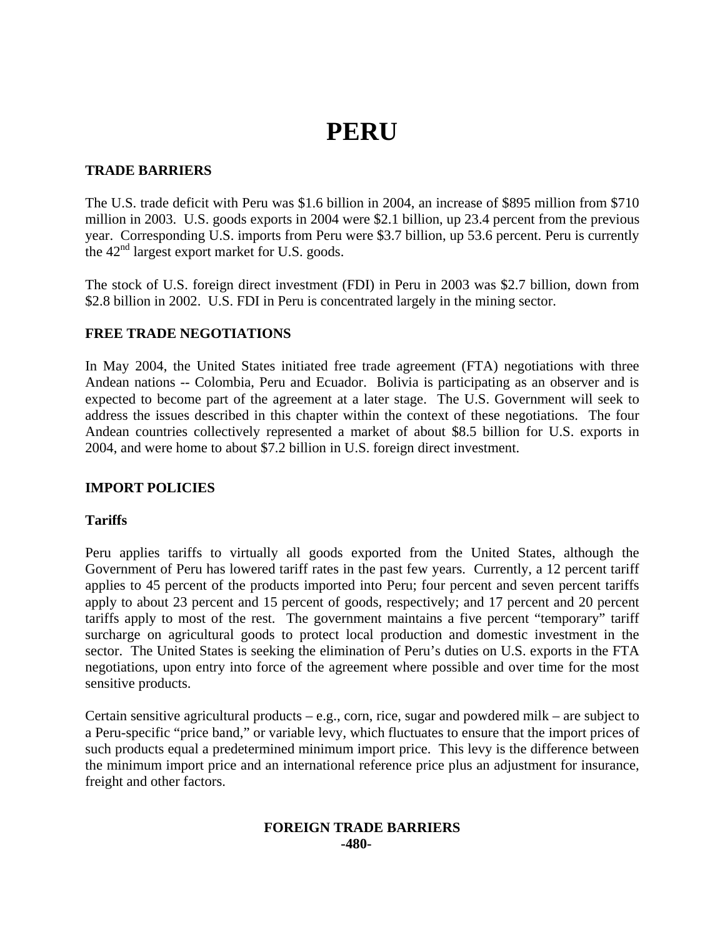# **PERU**

## **TRADE BARRIERS**

The U.S. trade deficit with Peru was \$1.6 billion in 2004, an increase of \$895 million from \$710 million in 2003. U.S. goods exports in 2004 were \$2.1 billion, up 23.4 percent from the previous year. Corresponding U.S. imports from Peru were \$3.7 billion, up 53.6 percent. Peru is currently the  $42<sup>nd</sup>$  largest export market for U.S. goods.

The stock of U.S. foreign direct investment (FDI) in Peru in 2003 was \$2.7 billion, down from \$2.8 billion in 2002. U.S. FDI in Peru is concentrated largely in the mining sector.

## **FREE TRADE NEGOTIATIONS**

In May 2004, the United States initiated free trade agreement (FTA) negotiations with three Andean nations -- Colombia, Peru and Ecuador. Bolivia is participating as an observer and is expected to become part of the agreement at a later stage. The U.S. Government will seek to address the issues described in this chapter within the context of these negotiations. The four Andean countries collectively represented a market of about \$8.5 billion for U.S. exports in 2004, and were home to about \$7.2 billion in U.S. foreign direct investment.

## **IMPORT POLICIES**

## **Tariffs**

Peru applies tariffs to virtually all goods exported from the United States, although the Government of Peru has lowered tariff rates in the past few years. Currently, a 12 percent tariff applies to 45 percent of the products imported into Peru; four percent and seven percent tariffs apply to about 23 percent and 15 percent of goods, respectively; and 17 percent and 20 percent tariffs apply to most of the rest. The government maintains a five percent "temporary" tariff surcharge on agricultural goods to protect local production and domestic investment in the sector. The United States is seeking the elimination of Peru's duties on U.S. exports in the FTA negotiations, upon entry into force of the agreement where possible and over time for the most sensitive products.

Certain sensitive agricultural products – e.g., corn, rice, sugar and powdered milk – are subject to a Peru-specific "price band," or variable levy, which fluctuates to ensure that the import prices of such products equal a predetermined minimum import price. This levy is the difference between the minimum import price and an international reference price plus an adjustment for insurance, freight and other factors.

#### **FOREIGN TRADE BARRIERS -480-**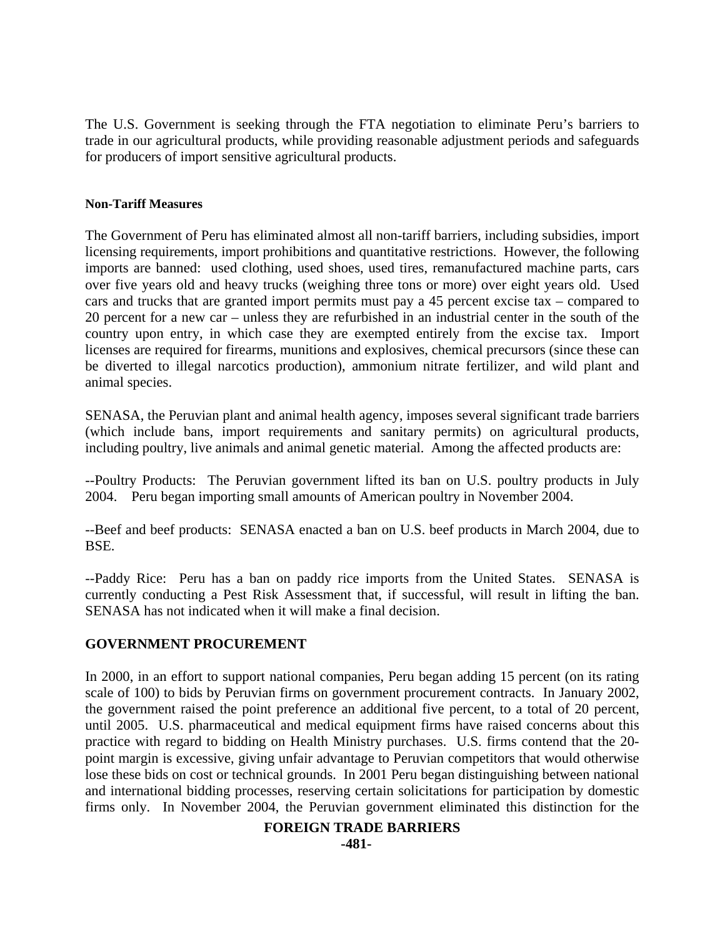The U.S. Government is seeking through the FTA negotiation to eliminate Peru's barriers to trade in our agricultural products, while providing reasonable adjustment periods and safeguards for producers of import sensitive agricultural products.

#### **Non-Tariff Measures**

The Government of Peru has eliminated almost all non-tariff barriers, including subsidies, import licensing requirements, import prohibitions and quantitative restrictions. However, the following imports are banned: used clothing, used shoes, used tires, remanufactured machine parts, cars over five years old and heavy trucks (weighing three tons or more) over eight years old. Used cars and trucks that are granted import permits must pay a 45 percent excise tax – compared to 20 percent for a new car – unless they are refurbished in an industrial center in the south of the country upon entry, in which case they are exempted entirely from the excise tax. Import licenses are required for firearms, munitions and explosives, chemical precursors (since these can be diverted to illegal narcotics production), ammonium nitrate fertilizer, and wild plant and animal species.

SENASA, the Peruvian plant and animal health agency, imposes several significant trade barriers (which include bans, import requirements and sanitary permits) on agricultural products, including poultry, live animals and animal genetic material. Among the affected products are:

--Poultry Products: The Peruvian government lifted its ban on U.S. poultry products in July 2004. Peru began importing small amounts of American poultry in November 2004.

--Beef and beef products: SENASA enacted a ban on U.S. beef products in March 2004, due to BSE.

--Paddy Rice: Peru has a ban on paddy rice imports from the United States. SENASA is currently conducting a Pest Risk Assessment that, if successful, will result in lifting the ban. SENASA has not indicated when it will make a final decision.

## **GOVERNMENT PROCUREMENT**

In 2000, in an effort to support national companies, Peru began adding 15 percent (on its rating scale of 100) to bids by Peruvian firms on government procurement contracts. In January 2002, the government raised the point preference an additional five percent, to a total of 20 percent, until 2005. U.S. pharmaceutical and medical equipment firms have raised concerns about this practice with regard to bidding on Health Ministry purchases. U.S. firms contend that the 20 point margin is excessive, giving unfair advantage to Peruvian competitors that would otherwise lose these bids on cost or technical grounds. In 2001 Peru began distinguishing between national and international bidding processes, reserving certain solicitations for participation by domestic firms only. In November 2004, the Peruvian government eliminated this distinction for the

## **FOREIGN TRADE BARRIERS**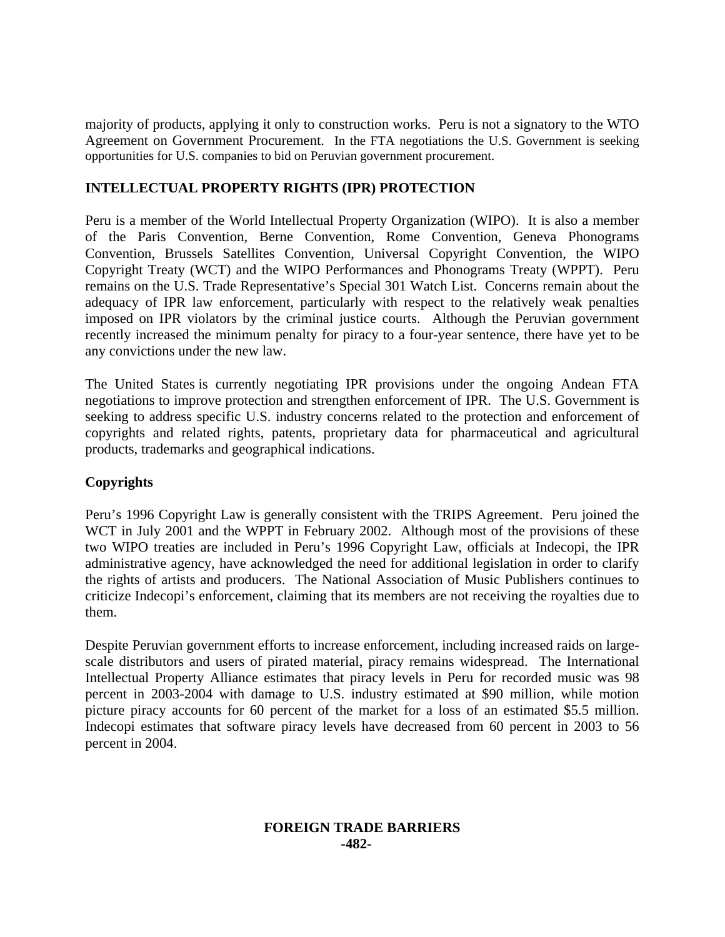majority of products, applying it only to construction works. Peru is not a signatory to the WTO Agreement on Government Procurement. In the FTA negotiations the U.S. Government is seeking opportunities for U.S. companies to bid on Peruvian government procurement.

## **INTELLECTUAL PROPERTY RIGHTS (IPR) PROTECTION**

Peru is a member of the World Intellectual Property Organization (WIPO). It is also a member of the Paris Convention, Berne Convention, Rome Convention, Geneva Phonograms Convention, Brussels Satellites Convention, Universal Copyright Convention, the WIPO Copyright Treaty (WCT) and the WIPO Performances and Phonograms Treaty (WPPT). Peru remains on the U.S. Trade Representative's Special 301 Watch List. Concerns remain about the adequacy of IPR law enforcement, particularly with respect to the relatively weak penalties imposed on IPR violators by the criminal justice courts. Although the Peruvian government recently increased the minimum penalty for piracy to a four-year sentence, there have yet to be any convictions under the new law.

The United States is currently negotiating IPR provisions under the ongoing Andean FTA negotiations to improve protection and strengthen enforcement of IPR. The U.S. Government is seeking to address specific U.S. industry concerns related to the protection and enforcement of copyrights and related rights, patents, proprietary data for pharmaceutical and agricultural products, trademarks and geographical indications.

## **Copyrights**

Peru's 1996 Copyright Law is generally consistent with the TRIPS Agreement. Peru joined the WCT in July 2001 and the WPPT in February 2002. Although most of the provisions of these two WIPO treaties are included in Peru's 1996 Copyright Law, officials at Indecopi, the IPR administrative agency, have acknowledged the need for additional legislation in order to clarify the rights of artists and producers. The National Association of Music Publishers continues to criticize Indecopi's enforcement, claiming that its members are not receiving the royalties due to them.

Despite Peruvian government efforts to increase enforcement, including increased raids on largescale distributors and users of pirated material, piracy remains widespread. The International Intellectual Property Alliance estimates that piracy levels in Peru for recorded music was 98 percent in 2003-2004 with damage to U.S. industry estimated at \$90 million, while motion picture piracy accounts for 60 percent of the market for a loss of an estimated \$5.5 million. Indecopi estimates that software piracy levels have decreased from 60 percent in 2003 to 56 percent in 2004.

## **FOREIGN TRADE BARRIERS -482-**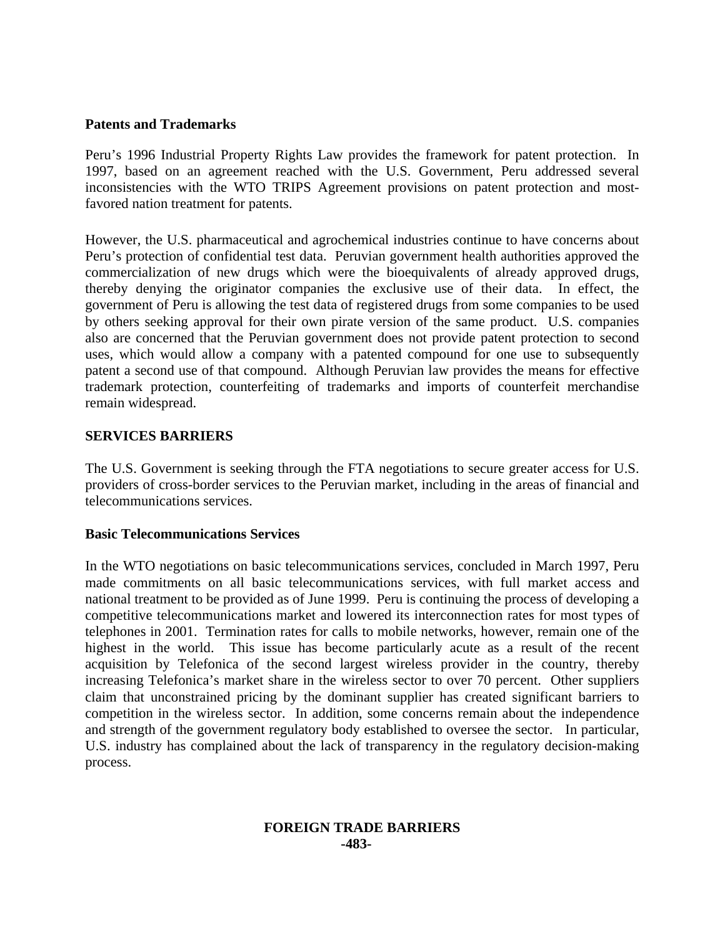## **Patents and Trademarks**

Peru's 1996 Industrial Property Rights Law provides the framework for patent protection. In 1997, based on an agreement reached with the U.S. Government, Peru addressed several inconsistencies with the WTO TRIPS Agreement provisions on patent protection and mostfavored nation treatment for patents.

However, the U.S. pharmaceutical and agrochemical industries continue to have concerns about Peru's protection of confidential test data. Peruvian government health authorities approved the commercialization of new drugs which were the bioequivalents of already approved drugs, thereby denying the originator companies the exclusive use of their data. In effect, the government of Peru is allowing the test data of registered drugs from some companies to be used by others seeking approval for their own pirate version of the same product. U.S. companies also are concerned that the Peruvian government does not provide patent protection to second uses, which would allow a company with a patented compound for one use to subsequently patent a second use of that compound. Although Peruvian law provides the means for effective trademark protection, counterfeiting of trademarks and imports of counterfeit merchandise remain widespread.

## **SERVICES BARRIERS**

The U.S. Government is seeking through the FTA negotiations to secure greater access for U.S. providers of cross-border services to the Peruvian market, including in the areas of financial and telecommunications services.

## **Basic Telecommunications Services**

In the WTO negotiations on basic telecommunications services, concluded in March 1997, Peru made commitments on all basic telecommunications services, with full market access and national treatment to be provided as of June 1999. Peru is continuing the process of developing a competitive telecommunications market and lowered its interconnection rates for most types of telephones in 2001. Termination rates for calls to mobile networks, however, remain one of the highest in the world. This issue has become particularly acute as a result of the recent acquisition by Telefonica of the second largest wireless provider in the country, thereby increasing Telefonica's market share in the wireless sector to over 70 percent. Other suppliers claim that unconstrained pricing by the dominant supplier has created significant barriers to competition in the wireless sector. In addition, some concerns remain about the independence and strength of the government regulatory body established to oversee the sector. In particular, U.S. industry has complained about the lack of transparency in the regulatory decision-making process.

#### **FOREIGN TRADE BARRIERS -483-**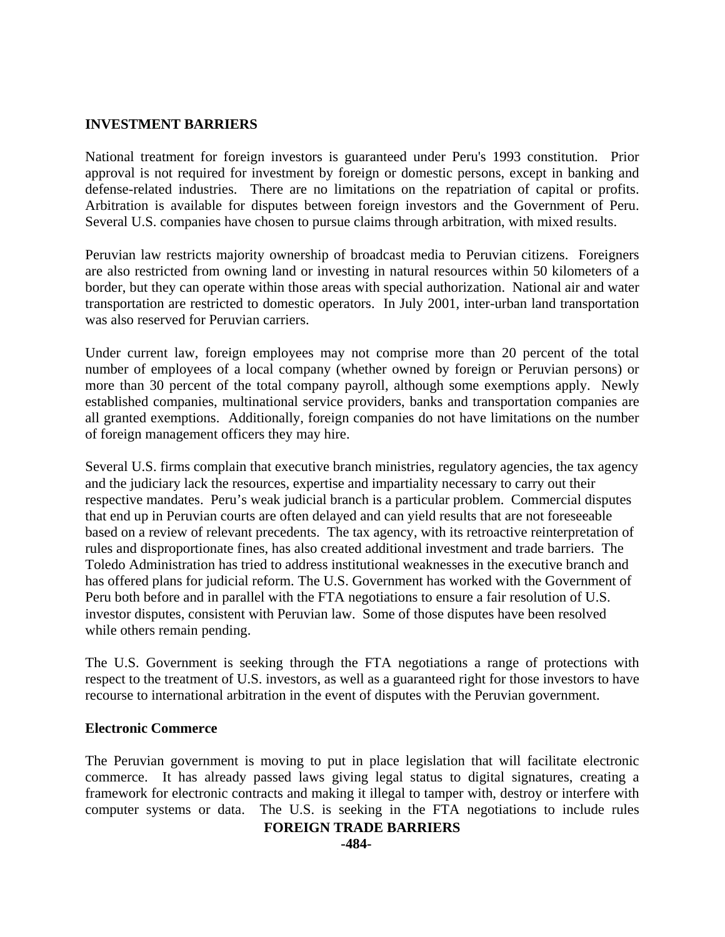## **INVESTMENT BARRIERS**

National treatment for foreign investors is guaranteed under Peru's 1993 constitution. Prior approval is not required for investment by foreign or domestic persons, except in banking and defense-related industries. There are no limitations on the repatriation of capital or profits. Arbitration is available for disputes between foreign investors and the Government of Peru. Several U.S. companies have chosen to pursue claims through arbitration, with mixed results.

Peruvian law restricts majority ownership of broadcast media to Peruvian citizens. Foreigners are also restricted from owning land or investing in natural resources within 50 kilometers of a border, but they can operate within those areas with special authorization. National air and water transportation are restricted to domestic operators. In July 2001, inter-urban land transportation was also reserved for Peruvian carriers.

Under current law, foreign employees may not comprise more than 20 percent of the total number of employees of a local company (whether owned by foreign or Peruvian persons) or more than 30 percent of the total company payroll, although some exemptions apply. Newly established companies, multinational service providers, banks and transportation companies are all granted exemptions. Additionally, foreign companies do not have limitations on the number of foreign management officers they may hire.

Several U.S. firms complain that executive branch ministries, regulatory agencies, the tax agency and the judiciary lack the resources, expertise and impartiality necessary to carry out their respective mandates. Peru's weak judicial branch is a particular problem. Commercial disputes that end up in Peruvian courts are often delayed and can yield results that are not foreseeable based on a review of relevant precedents. The tax agency, with its retroactive reinterpretation of rules and disproportionate fines, has also created additional investment and trade barriers. The Toledo Administration has tried to address institutional weaknesses in the executive branch and has offered plans for judicial reform. The U.S. Government has worked with the Government of Peru both before and in parallel with the FTA negotiations to ensure a fair resolution of U.S. investor disputes, consistent with Peruvian law. Some of those disputes have been resolved while others remain pending.

The U.S. Government is seeking through the FTA negotiations a range of protections with respect to the treatment of U.S. investors, as well as a guaranteed right for those investors to have recourse to international arbitration in the event of disputes with the Peruvian government.

#### **Electronic Commerce**

The Peruvian government is moving to put in place legislation that will facilitate electronic commerce. It has already passed laws giving legal status to digital signatures, creating a framework for electronic contracts and making it illegal to tamper with, destroy or interfere with computer systems or data. The U.S. is seeking in the FTA negotiations to include rules

#### **FOREIGN TRADE BARRIERS**